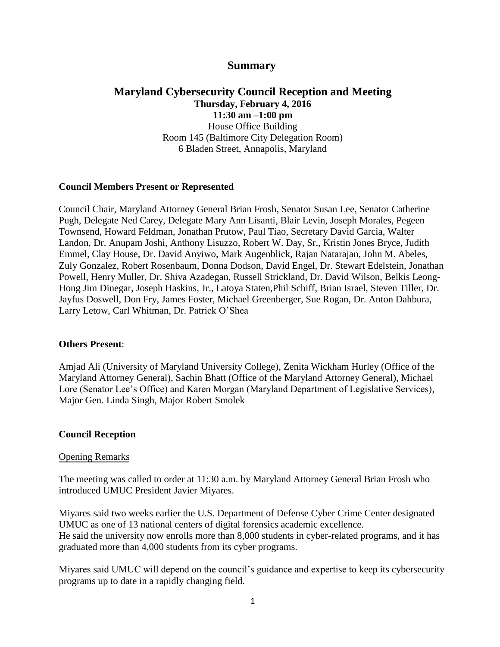# **Summary**

## **Maryland Cybersecurity Council Reception and Meeting Thursday, February 4, 2016 11:30 am –1:00 pm**  House Office Building Room 145 (Baltimore City Delegation Room) 6 Bladen Street, Annapolis, Maryland

### **Council Members Present or Represented**

Council Chair, Maryland Attorney General Brian Frosh, Senator Susan Lee, Senator Catherine Pugh, Delegate Ned Carey, Delegate Mary Ann Lisanti, Blair Levin, Joseph Morales, Pegeen Townsend, Howard Feldman, Jonathan Prutow, Paul Tiao, Secretary David Garcia, Walter Landon, Dr. Anupam Joshi, Anthony Lisuzzo, Robert W. Day, Sr., Kristin Jones Bryce, Judith Emmel, Clay House, Dr. David Anyiwo, Mark Augenblick, Rajan Natarajan, John M. Abeles, Zuly Gonzalez, Robert Rosenbaum, Donna Dodson, David Engel, Dr. Stewart Edelstein, Jonathan Powell, Henry Muller, Dr. Shiva Azadegan, Russell Strickland, Dr. David Wilson, Belkis Leong-Hong Jim Dinegar, Joseph Haskins, Jr., Latoya Staten,Phil Schiff, Brian Israel, Steven Tiller, Dr. Jayfus Doswell, Don Fry, James Foster, Michael Greenberger, Sue Rogan, Dr. Anton Dahbura, Larry Letow, Carl Whitman, Dr. Patrick O'Shea

### **Others Present**:

Amjad Ali (University of Maryland University College), Zenita Wickham Hurley (Office of the Maryland Attorney General), Sachin Bhatt (Office of the Maryland Attorney General), Michael Lore (Senator Lee's Office) and Karen Morgan (Maryland Department of Legislative Services), Major Gen. Linda Singh, Major Robert Smolek

### **Council Reception**

#### Opening Remarks

The meeting was called to order at 11:30 a.m. by Maryland Attorney General Brian Frosh who introduced UMUC President Javier Miyares.

Miyares said two weeks earlier the U.S. Department of Defense Cyber Crime Center designated UMUC as one of 13 national centers of digital forensics academic excellence. He said the university now enrolls more than 8,000 students in cyber-related programs, and it has graduated more than 4,000 students from its cyber programs.

Miyares said UMUC will depend on the council's guidance and expertise to keep its cybersecurity programs up to date in a rapidly changing field.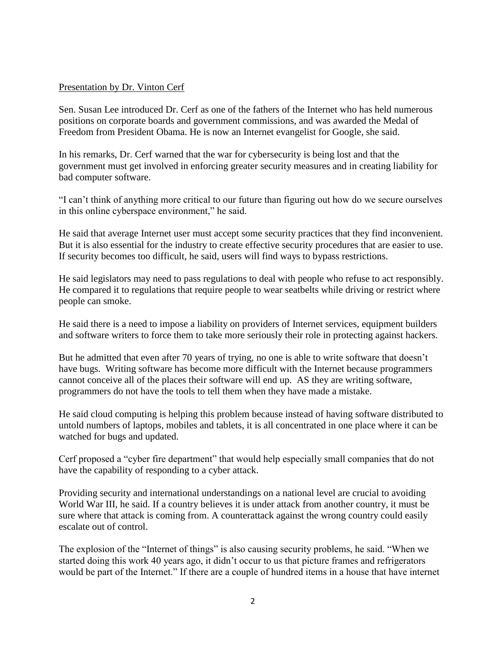### Presentation by Dr. Vinton Cerf

Sen. Susan Lee introduced Dr. Cerf as one of the fathers of the Internet who has held numerous positions on corporate boards and government commissions, and was awarded the Medal of Freedom from President Obama. He is now an Internet evangelist for Google, she said.

In his remarks, Dr. Cerf warned that the war for cybersecurity is being lost and that the government must get involved in enforcing greater security measures and in creating liability for bad computer software.

"I can't think of anything more critical to our future than figuring out how do we secure ourselves in this online cyberspace environment," he said.

He said that average Internet user must accept some security practices that they find inconvenient. But it is also essential for the industry to create effective security procedures that are easier to use. If security becomes too difficult, he said, users will find ways to bypass restrictions.

He said legislators may need to pass regulations to deal with people who refuse to act responsibly. He compared it to regulations that require people to wear seatbelts while driving or restrict where people can smoke.

He said there is a need to impose a liability on providers of Internet services, equipment builders and software writers to force them to take more seriously their role in protecting against hackers.

But he admitted that even after 70 years of trying, no one is able to write software that doesn't have bugs. Writing software has become more difficult with the Internet because programmers cannot conceive all of the places their software will end up. AS they are writing software, programmers do not have the tools to tell them when they have made a mistake.

He said cloud computing is helping this problem because instead of having software distributed to untold numbers of laptops, mobiles and tablets, it is all concentrated in one place where it can be watched for bugs and updated.

Cerf proposed a "cyber fire department" that would help especially small companies that do not have the capability of responding to a cyber attack.

Providing security and international understandings on a national level are crucial to avoiding World War III, he said. If a country believes it is under attack from another country, it must be sure where that attack is coming from. A counterattack against the wrong country could easily escalate out of control.

The explosion of the "Internet of things" is also causing security problems, he said. "When we started doing this work 40 years ago, it didn't occur to us that picture frames and refrigerators would be part of the Internet." If there are a couple of hundred items in a house that have internet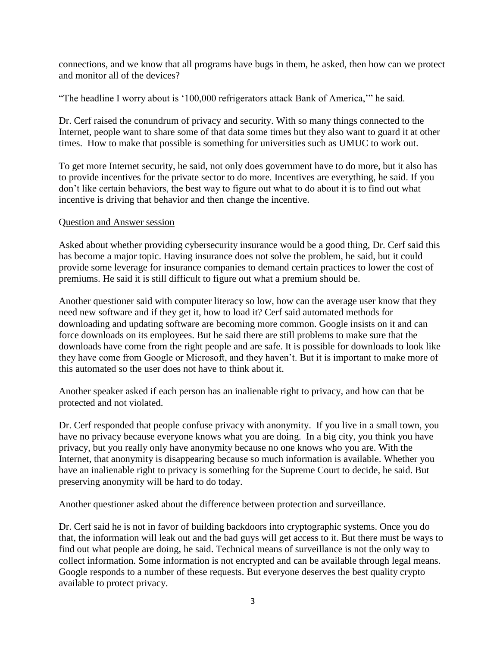connections, and we know that all programs have bugs in them, he asked, then how can we protect and monitor all of the devices?

"The headline I worry about is '100,000 refrigerators attack Bank of America,'" he said.

Dr. Cerf raised the conundrum of privacy and security. With so many things connected to the Internet, people want to share some of that data some times but they also want to guard it at other times. How to make that possible is something for universities such as UMUC to work out.

To get more Internet security, he said, not only does government have to do more, but it also has to provide incentives for the private sector to do more. Incentives are everything, he said. If you don't like certain behaviors, the best way to figure out what to do about it is to find out what incentive is driving that behavior and then change the incentive.

## Question and Answer session

Asked about whether providing cybersecurity insurance would be a good thing, Dr. Cerf said this has become a major topic. Having insurance does not solve the problem, he said, but it could provide some leverage for insurance companies to demand certain practices to lower the cost of premiums. He said it is still difficult to figure out what a premium should be.

Another questioner said with computer literacy so low, how can the average user know that they need new software and if they get it, how to load it? Cerf said automated methods for downloading and updating software are becoming more common. Google insists on it and can force downloads on its employees. But he said there are still problems to make sure that the downloads have come from the right people and are safe. It is possible for downloads to look like they have come from Google or Microsoft, and they haven't. But it is important to make more of this automated so the user does not have to think about it.

Another speaker asked if each person has an inalienable right to privacy, and how can that be protected and not violated.

Dr. Cerf responded that people confuse privacy with anonymity. If you live in a small town, you have no privacy because everyone knows what you are doing. In a big city, you think you have privacy, but you really only have anonymity because no one knows who you are. With the Internet, that anonymity is disappearing because so much information is available. Whether you have an inalienable right to privacy is something for the Supreme Court to decide, he said. But preserving anonymity will be hard to do today.

Another questioner asked about the difference between protection and surveillance.

Dr. Cerf said he is not in favor of building backdoors into cryptographic systems. Once you do that, the information will leak out and the bad guys will get access to it. But there must be ways to find out what people are doing, he said. Technical means of surveillance is not the only way to collect information. Some information is not encrypted and can be available through legal means. Google responds to a number of these requests. But everyone deserves the best quality crypto available to protect privacy.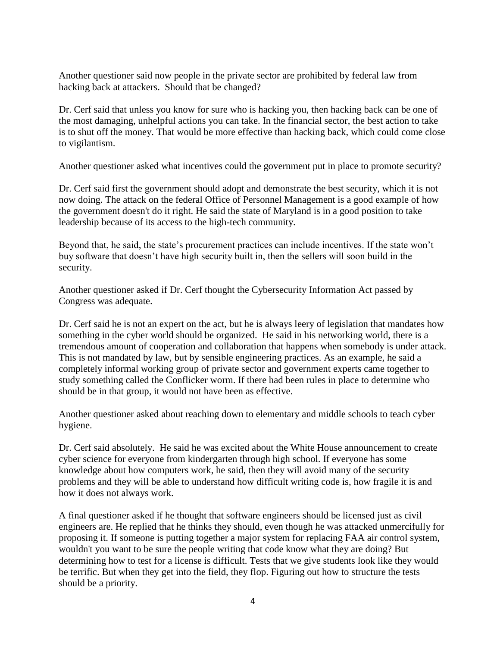Another questioner said now people in the private sector are prohibited by federal law from hacking back at attackers. Should that be changed?

Dr. Cerf said that unless you know for sure who is hacking you, then hacking back can be one of the most damaging, unhelpful actions you can take. In the financial sector, the best action to take is to shut off the money. That would be more effective than hacking back, which could come close to vigilantism.

Another questioner asked what incentives could the government put in place to promote security?

Dr. Cerf said first the government should adopt and demonstrate the best security, which it is not now doing. The attack on the federal Office of Personnel Management is a good example of how the government doesn't do it right. He said the state of Maryland is in a good position to take leadership because of its access to the high-tech community.

Beyond that, he said, the state's procurement practices can include incentives. If the state won't buy software that doesn't have high security built in, then the sellers will soon build in the security.

Another questioner asked if Dr. Cerf thought the Cybersecurity Information Act passed by Congress was adequate.

Dr. Cerf said he is not an expert on the act, but he is always leery of legislation that mandates how something in the cyber world should be organized. He said in his networking world, there is a tremendous amount of cooperation and collaboration that happens when somebody is under attack. This is not mandated by law, but by sensible engineering practices. As an example, he said a completely informal working group of private sector and government experts came together to study something called the Conflicker worm. If there had been rules in place to determine who should be in that group, it would not have been as effective.

Another questioner asked about reaching down to elementary and middle schools to teach cyber hygiene.

Dr. Cerf said absolutely. He said he was excited about the White House announcement to create cyber science for everyone from kindergarten through high school. If everyone has some knowledge about how computers work, he said, then they will avoid many of the security problems and they will be able to understand how difficult writing code is, how fragile it is and how it does not always work.

A final questioner asked if he thought that software engineers should be licensed just as civil engineers are. He replied that he thinks they should, even though he was attacked unmercifully for proposing it. If someone is putting together a major system for replacing FAA air control system, wouldn't you want to be sure the people writing that code know what they are doing? But determining how to test for a license is difficult. Tests that we give students look like they would be terrific. But when they get into the field, they flop. Figuring out how to structure the tests should be a priority.